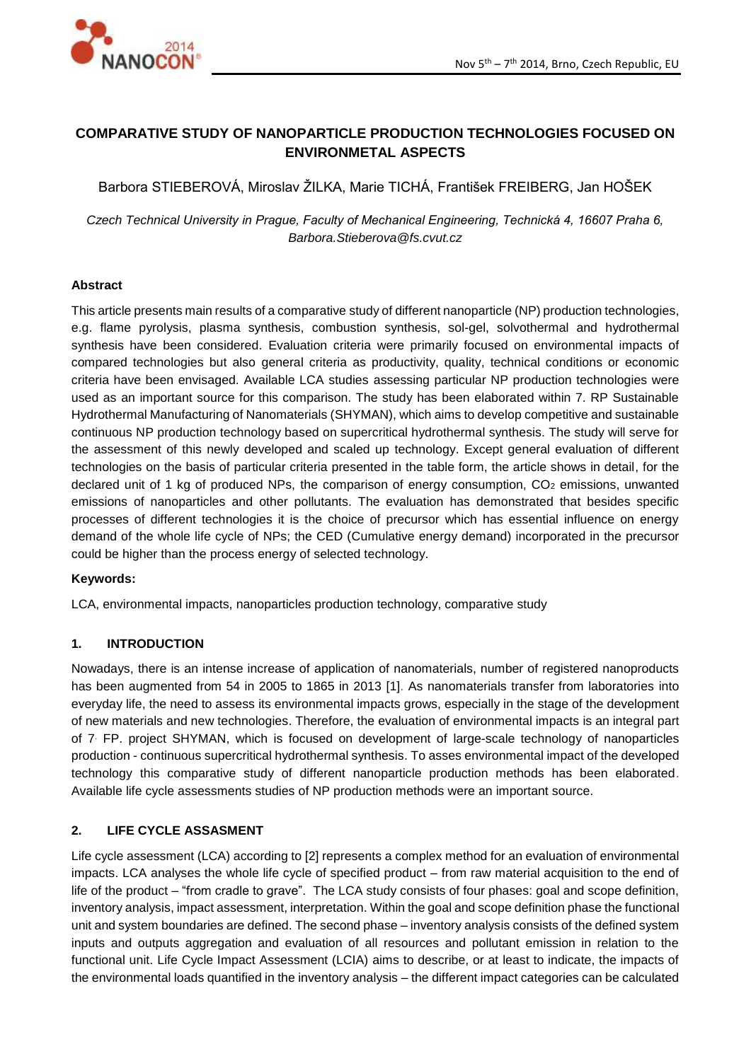

# **COMPARATIVE STUDY OF NANOPARTICLE PRODUCTION TECHNOLOGIES FOCUSED ON ENVIRONMETAL ASPECTS**

Barbora STIEBEROVÁ, Miroslav ŽILKA, Marie TICHÁ, František FREIBERG, Jan HOŠEK

*Czech Technical University in Prague, Faculty of Mechanical Engineering, Technická 4, 16607 Praha 6, Barbora.Stieberova@fs.cvut.cz*

### **Abstract**

This article presents main results of a comparative study of different nanoparticle (NP) production technologies, e.g. flame pyrolysis, plasma synthesis, combustion synthesis, sol-gel, solvothermal and hydrothermal synthesis have been considered. Evaluation criteria were primarily focused on environmental impacts of compared technologies but also general criteria as productivity, quality, technical conditions or economic criteria have been envisaged. Available LCA studies assessing particular NP production technologies were used as an important source for this comparison. The study has been elaborated within 7. RP Sustainable Hydrothermal Manufacturing of Nanomaterials (SHYMAN), which aims to develop competitive and sustainable continuous NP production technology based on supercritical hydrothermal synthesis. The study will serve for the assessment of this newly developed and scaled up technology. Except general evaluation of different technologies on the basis of particular criteria presented in the table form, the article shows in detail, for the declared unit of 1 kg of produced NPs, the comparison of energy consumption,  $CO<sub>2</sub>$  emissions, unwanted emissions of nanoparticles and other pollutants. The evaluation has demonstrated that besides specific processes of different technologies it is the choice of precursor which has essential influence on energy demand of the whole life cycle of NPs; the CED (Cumulative energy demand) incorporated in the precursor could be higher than the process energy of selected technology.

#### **Keywords:**

LCA, environmental impacts, nanoparticles production technology, comparative study

#### **1. INTRODUCTION**

Nowadays, there is an intense increase of application of nanomaterials, number of registered nanoproducts has been augmented from 54 in 2005 to 1865 in 2013 [1]. As nanomaterials transfer from laboratories into everyday life, the need to assess its environmental impacts grows, especially in the stage of the development of new materials and new technologies. Therefore, the evaluation of environmental impacts is an integral part of 7. FP. project SHYMAN, which is focused on development of large-scale technology of nanoparticles production - continuous supercritical hydrothermal synthesis. To asses environmental impact of the developed technology this comparative study of different nanoparticle production methods has been elaborated. Available life cycle assessments studies of NP production methods were an important source.

### **2. LIFE CYCLE ASSASMENT**

Life cycle assessment (LCA) according to [2] represents a complex method for an evaluation of environmental impacts. LCA analyses the whole life cycle of specified product – from raw material acquisition to the end of life of the product – "from cradle to grave". The LCA study consists of four phases: goal and scope definition, inventory analysis, impact assessment, interpretation. Within the goal and scope definition phase the functional unit and system boundaries are defined. The second phase – inventory analysis consists of the defined system inputs and outputs aggregation and evaluation of all resources and pollutant emission in relation to the functional unit. Life Cycle Impact Assessment (LCIA) aims to describe, or at least to indicate, the impacts of the environmental loads quantified in the inventory analysis – the different impact categories can be calculated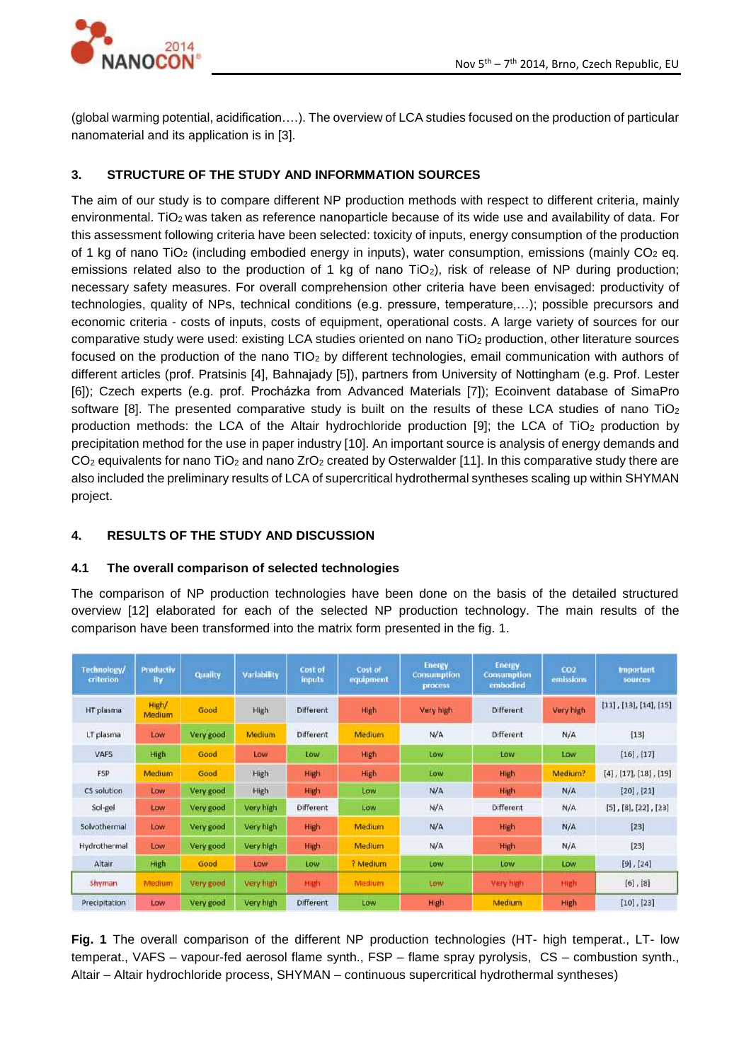

(global warming potential, acidification….). The overview of LCA studies focused on the production of particular nanomaterial and its application is in [3].

## **3. STRUCTURE OF THE STUDY AND INFORMMATION SOURCES**

The aim of our study is to compare different NP production methods with respect to different criteria, mainly environmental. TiO<sub>2</sub> was taken as reference nanoparticle because of its wide use and availability of data. For this assessment following criteria have been selected: toxicity of inputs, energy consumption of the production of 1 kg of nano TiO<sub>2</sub> (including embodied energy in inputs), water consumption, emissions (mainly CO<sub>2</sub> eq. emissions related also to the production of 1 kg of nano TiO<sub>2</sub>), risk of release of NP during production; necessary safety measures. For overall comprehension other criteria have been envisaged: productivity of technologies, quality of NPs, technical conditions (e.g. pressure, temperature,…); possible precursors and economic criteria - costs of inputs, costs of equipment, operational costs. A large variety of sources for our comparative study were used: existing LCA studies oriented on nano TiO<sub>2</sub> production, other literature sources focused on the production of the nano TIO<sup>2</sup> by different technologies, email communication with authors of different articles (prof. Pratsinis [4], Bahnajady [5]), partners from University of Nottingham (e.g. Prof. Lester [6]); Czech experts (e.g. prof. Procházka from Advanced Materials [7]); Ecoinvent database of SimaPro software [8]. The presented comparative study is built on the results of these LCA studies of nano TiO<sub>2</sub> production methods: the LCA of the Altair hydrochloride production [9]; the LCA of TiO<sub>2</sub> production by precipitation method for the use in paper industry [10]. An important source is analysis of energy demands and CO<sub>2</sub> equivalents for nano TiO<sub>2</sub> and nano ZrO<sub>2</sub> created by Osterwalder [11]. In this comparative study there are also included the preliminary results of LCA of supercritical hydrothermal syntheses scaling up within SHYMAN project.

### **4. RESULTS OF THE STUDY AND DISCUSSION**

### **4.1 The overall comparison of selected technologies**

The comparison of NP production technologies have been done on the basis of the detailed structured overview [12] elaborated for each of the selected NP production technology. The main results of the comparison have been transformed into the matrix form presented in the fig. 1.

| Technology/<br>criterion | <b>Productiv</b><br>ity | Quality   | Variability | Cost of<br><b>inputs</b> | Cost of<br>equipment | <b>Energy</b><br><b>Consumption</b><br>process. | <b>Energy</b><br><b>Consumption</b><br>embodied | CO2<br>emissions | <b>Important</b><br>sources       |
|--------------------------|-------------------------|-----------|-------------|--------------------------|----------------------|-------------------------------------------------|-------------------------------------------------|------------------|-----------------------------------|
| HT plasma                | High/<br>Medium         | Good      | High        | <b>Different</b>         | High                 | Very high                                       | <b>Different</b>                                | Very high        | $[11]$ , $[13]$ , $[14]$ , $[15]$ |
| LT plasma                | Low                     | Very good | Medium      | Different                | Medium               | N/A                                             | Different                                       | N/A              | [13]                              |
| <b>VAFS</b>              | High                    | Good      | Low         | Low                      | High                 | Low                                             | Low                                             | Low              | $[16]$ , $[17]$                   |
| <b>FSP</b>               | Medium                  | Good      | High        | High                     | High                 | Low                                             | High                                            | Medium?          | $[4]$ , $[17]$ , $[18]$ , $[19]$  |
| CS solution              | Low                     | Very good | High        | <b>High</b>              | Low                  | N/A                                             | High                                            | N/A              | $[20]$ , $[21]$                   |
| Sol-gel                  | Low.                    | Very good | Very high   | Different                | Low                  | N/A                                             | Different                                       | N/A              | $[5]$ , $[8]$ , $[22]$ , $[23]$   |
| Solvothermal             | Low                     | Very good | Very high   | High                     | Medium               | N/A                                             | <b>High</b>                                     | N/A              | [23]                              |
| Hydrothermal             | Low                     | Very good | Very high   | High                     | Medium               | N/A                                             | <b>High</b>                                     | N/A              | $[23]$                            |
| Altair                   | High                    | Good      | Low         | Low                      | ? Medium             | Low                                             | Low                                             | Low              | $[9]$ , $[24]$                    |
| Shyman                   | Medium                  | Very good | Very high   | <b>High</b>              | Medium               | Low.                                            | Very high                                       | High             | $[6]$ , $[8]$                     |
| Precipitation            | Low                     | Very good | Very high   | Different                | Low                  | High                                            | Medium                                          | High             | $[10]$ , $[23]$                   |

**Fig. 1** The overall comparison of the different NP production technologies (HT- high temperat., LT- low temperat., VAFS – vapour-fed aerosol flame synth., FSP – flame spray pyrolysis, CS – combustion synth., Altair – Altair hydrochloride process, SHYMAN – continuous supercritical hydrothermal syntheses)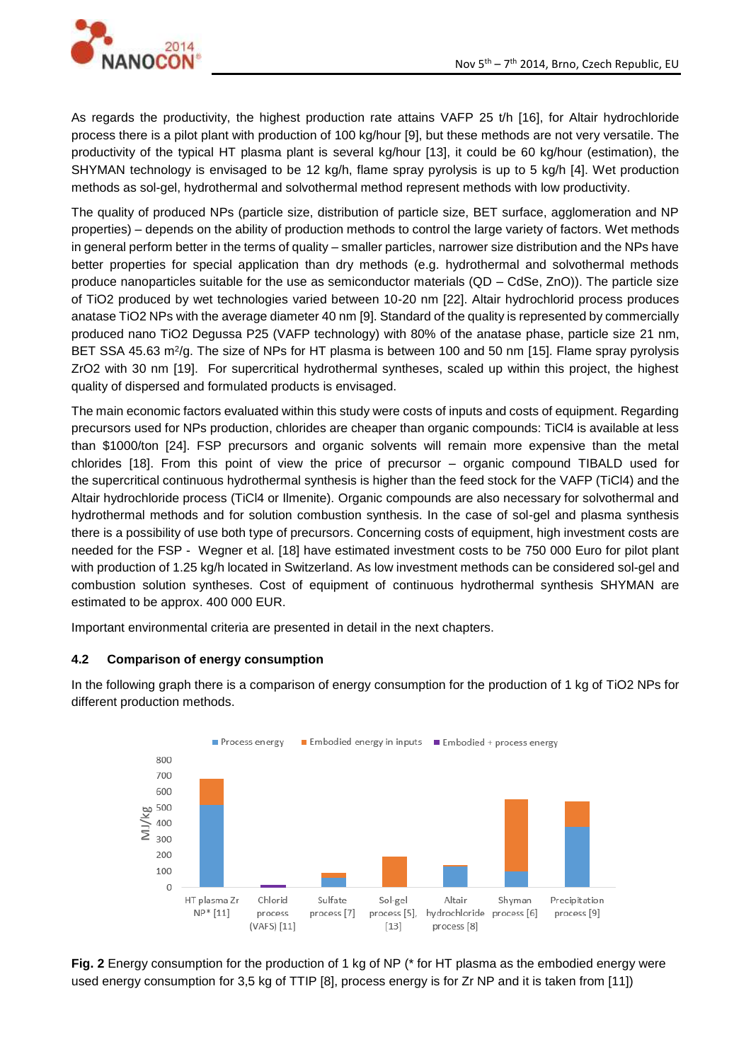

As regards the productivity, the highest production rate attains VAFP 25 t/h [16], for Altair hydrochloride process there is a pilot plant with production of 100 kg/hour [9], but these methods are not very versatile. The productivity of the typical HT plasma plant is several kg/hour [13], it could be 60 kg/hour (estimation), the SHYMAN technology is envisaged to be 12 kg/h, flame spray pyrolysis is up to 5 kg/h [4]. Wet production methods as sol-gel, hydrothermal and solvothermal method represent methods with low productivity.

The quality of produced NPs (particle size, distribution of particle size, BET surface, agglomeration and NP properties) – depends on the ability of production methods to control the large variety of factors. Wet methods in general perform better in the terms of quality – smaller particles, narrower size distribution and the NPs have better properties for special application than dry methods (e.g. hydrothermal and solvothermal methods produce nanoparticles suitable for the use as semiconductor materials (QD – CdSe, ZnO)). The particle size of TiO2 produced by wet technologies varied between 10-20 nm [22]. Altair hydrochlorid process produces anatase TiO2 NPs with the average diameter 40 nm [9]. Standard of the quality is represented by commercially produced nano TiO2 Degussa P25 (VAFP technology) with 80% of the anatase phase, particle size 21 nm, BET SSA 45.63 m<sup>2</sup>/g. The size of NPs for HT plasma is between 100 and 50 nm [15]. Flame spray pyrolysis ZrO2 with 30 nm [19]. For supercritical hydrothermal syntheses, scaled up within this project, the highest quality of dispersed and formulated products is envisaged.

The main economic factors evaluated within this study were costs of inputs and costs of equipment. Regarding precursors used for NPs production, chlorides are cheaper than organic compounds: TiCl4 is available at less than \$1000/ton [24]. FSP precursors and organic solvents will remain more expensive than the metal chlorides [18]. From this point of view the price of precursor – organic compound TIBALD used for the supercritical continuous hydrothermal synthesis is higher than the feed stock for the VAFP (TiCl4) and the Altair hydrochloride process (TiCl4 or Ilmenite). Organic compounds are also necessary for solvothermal and hydrothermal methods and for solution combustion synthesis. In the case of sol-gel and plasma synthesis there is a possibility of use both type of precursors. Concerning costs of equipment, high investment costs are needed for the FSP - Wegner et al. [18] have estimated investment costs to be 750 000 Euro for pilot plant with production of 1.25 kg/h located in Switzerland. As low investment methods can be considered sol-gel and combustion solution syntheses. Cost of equipment of continuous hydrothermal synthesis SHYMAN are estimated to be approx. 400 000 EUR.

Important environmental criteria are presented in detail in the next chapters.

#### **4.2 Comparison of energy consumption**

In the following graph there is a comparison of energy consumption for the production of 1 kg of TiO2 NPs for different production methods.



**Fig. 2** Energy consumption for the production of 1 kg of NP (\* for HT plasma as the embodied energy were used energy consumption for 3,5 kg of TTIP [8], process energy is for Zr NP and it is taken from [11])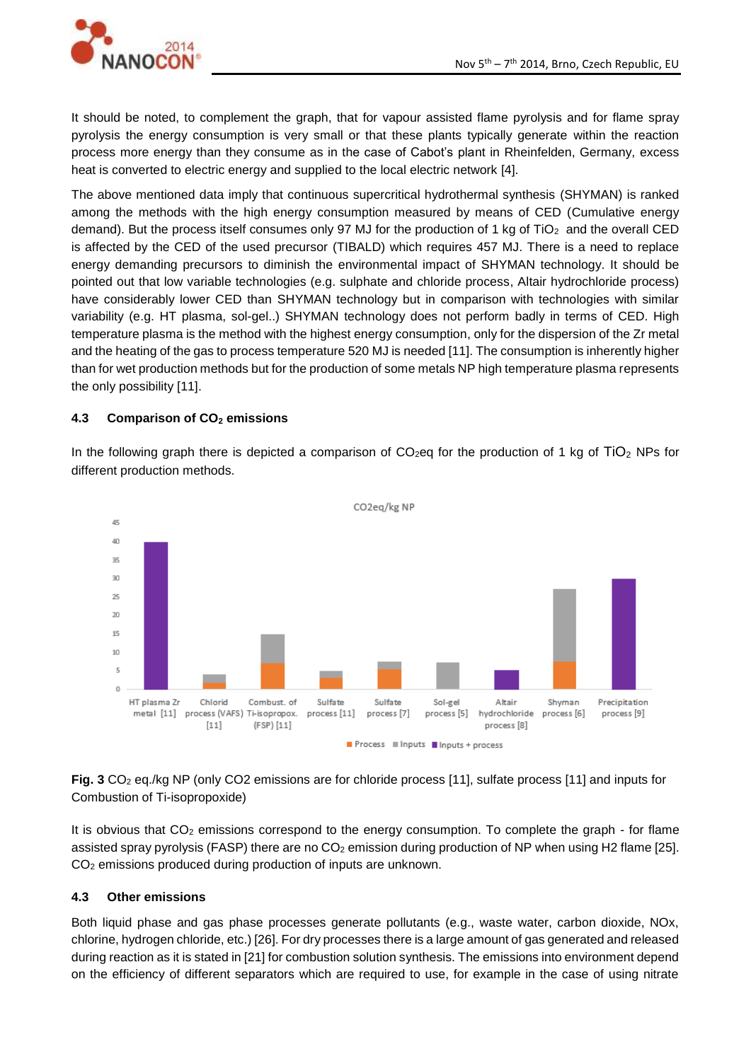

It should be noted, to complement the graph, that for vapour assisted flame pyrolysis and for flame spray pyrolysis the energy consumption is very small or that these plants typically generate within the reaction process more energy than they consume as in the case of Cabot's plant in Rheinfelden, Germany, excess heat is converted to electric energy and supplied to the local electric network [4].

The above mentioned data imply that continuous supercritical hydrothermal synthesis (SHYMAN) is ranked among the methods with the high energy consumption measured by means of CED (Cumulative energy demand). But the process itself consumes only 97 MJ for the production of 1 kg of TiO<sub>2</sub> and the overall CED is affected by the CED of the used precursor (TIBALD) which requires 457 MJ. There is a need to replace energy demanding precursors to diminish the environmental impact of SHYMAN technology. It should be pointed out that low variable technologies (e.g. sulphate and chloride process, Altair hydrochloride process) have considerably lower CED than SHYMAN technology but in comparison with technologies with similar variability (e.g. HT plasma, sol-gel..) SHYMAN technology does not perform badly in terms of CED. High temperature plasma is the method with the highest energy consumption, only for the dispersion of the Zr metal and the heating of the gas to process temperature 520 MJ is needed [11]. The consumption is inherently higher than for wet production methods but for the production of some metals NP high temperature plasma represents the only possibility [11].

### **4.3 Comparison of CO<sup>2</sup> emissions**

In the following graph there is depicted a comparison of  $CO<sub>2</sub>$ eg for the production of 1 kg of  $TiO<sub>2</sub>$  NPs for different production methods.



**Fig. 3** CO<sub>2</sub> eq./kg NP (only CO2 emissions are for chloride process [11], sulfate process [11] and inputs for Combustion of Ti-isopropoxide)

It is obvious that  $CO<sub>2</sub>$  emissions correspond to the energy consumption. To complete the graph - for flame assisted spray pyrolysis (FASP) there are no CO<sub>2</sub> emission during production of NP when using H2 flame [25]. CO<sup>2</sup> emissions produced during production of inputs are unknown.

#### **4.3 Other emissions**

Both liquid phase and gas phase processes generate pollutants (e.g., waste water, carbon dioxide, NOx, chlorine, hydrogen chloride, etc.) [26]. For dry processes there is a large amount of gas generated and released during reaction as it is stated in [21] for combustion solution synthesis. The emissions into environment depend on the efficiency of different separators which are required to use, for example in the case of using nitrate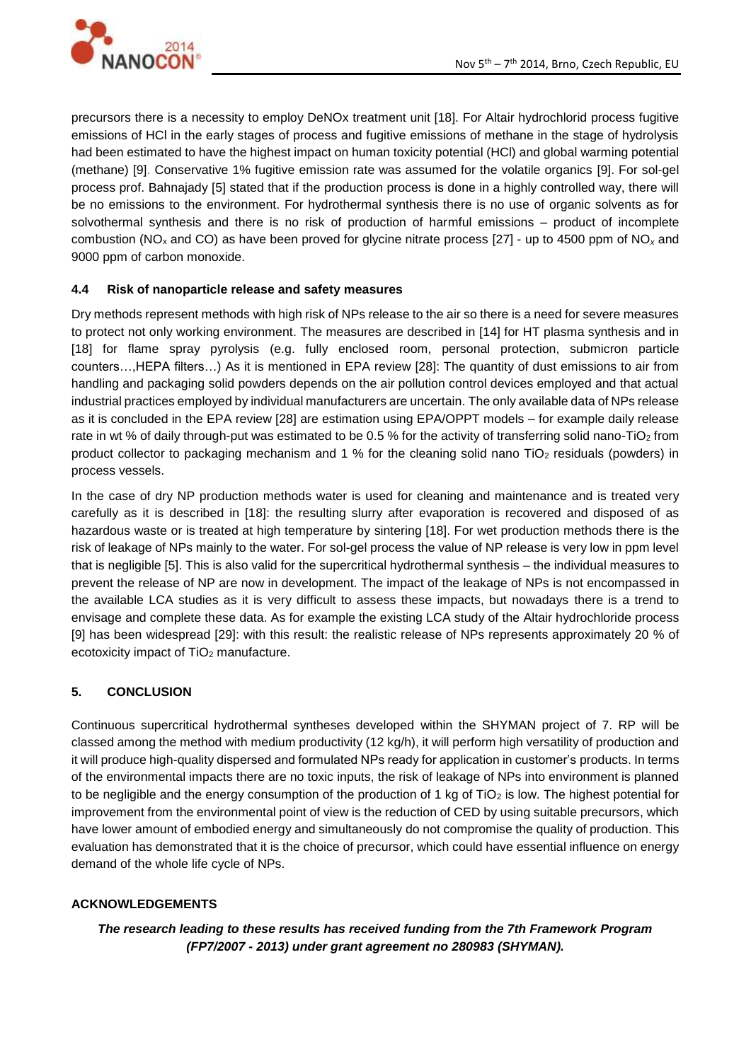precursors there is a necessity to employ DeNOx treatment unit [18]. For Altair hydrochlorid process fugitive emissions of HCl in the early stages of process and fugitive emissions of methane in the stage of hydrolysis had been estimated to have the highest impact on human toxicity potential (HCl) and global warming potential (methane) [9]. Conservative 1% fugitive emission rate was assumed for the volatile organics [9]. For sol-gel process prof. Bahnajady [5] stated that if the production process is done in a highly controlled way, there will be no emissions to the environment. For hydrothermal synthesis there is no use of organic solvents as for solvothermal synthesis and there is no risk of production of harmful emissions – product of incomplete combustion (NO<sup>x</sup> and CO) as have been proved for glycine nitrate process [27] - up to 4500 ppm of NO*<sup>x</sup>* and 9000 ppm of carbon monoxide.

### **4.4 Risk of nanoparticle release and safety measures**

Dry methods represent methods with high risk of NPs release to the air so there is a need for severe measures to protect not only working environment. The measures are described in [14] for HT plasma synthesis and in [18] for flame spray pyrolysis (e.g. fully enclosed room, personal protection, submicron particle counters…,HEPA filters…) As it is mentioned in EPA review [28]: The quantity of dust emissions to air from handling and packaging solid powders depends on the air pollution control devices employed and that actual industrial practices employed by individual manufacturers are uncertain. The only available data of NPs release as it is concluded in the EPA review [28] are estimation using EPA/OPPT models – for example daily release rate in wt % of daily through-put was estimated to be 0.5 % for the activity of transferring solid nano-TiO<sub>2</sub> from product collector to packaging mechanism and 1 % for the cleaning solid nano TiO<sub>2</sub> residuals (powders) in process vessels.

In the case of dry NP production methods water is used for cleaning and maintenance and is treated very carefully as it is described in [18]: the resulting slurry after evaporation is recovered and disposed of as hazardous waste or is treated at high temperature by sintering [18]. For wet production methods there is the risk of leakage of NPs mainly to the water. For sol-gel process the value of NP release is very low in ppm level that is negligible [5]. This is also valid for the supercritical hydrothermal synthesis – the individual measures to prevent the release of NP are now in development. The impact of the leakage of NPs is not encompassed in the available LCA studies as it is very difficult to assess these impacts, but nowadays there is a trend to envisage and complete these data. As for example the existing LCA study of the Altair hydrochloride process [9] has been widespread [29]: with this result: the realistic release of NPs represents approximately 20 % of ecotoxicity impact of TiO<sub>2</sub> manufacture.

### **5. CONCLUSION**

Continuous supercritical hydrothermal syntheses developed within the SHYMAN project of 7. RP will be classed among the method with medium productivity (12 kg/h), it will perform high versatility of production and it will produce high-quality dispersed and formulated NPs ready for application in customer's products. In terms of the environmental impacts there are no toxic inputs, the risk of leakage of NPs into environment is planned to be negligible and the energy consumption of the production of 1 kg of  $TiO<sub>2</sub>$  is low. The highest potential for improvement from the environmental point of view is the reduction of CED by using suitable precursors, which have lower amount of embodied energy and simultaneously do not compromise the quality of production. This evaluation has demonstrated that it is the choice of precursor, which could have essential influence on energy demand of the whole life cycle of NPs.

### **ACKNOWLEDGEMENTS**

*The research leading to these results has received funding from the 7th Framework Program (FP7/2007 - 2013) under grant agreement no 280983 (SHYMAN).*